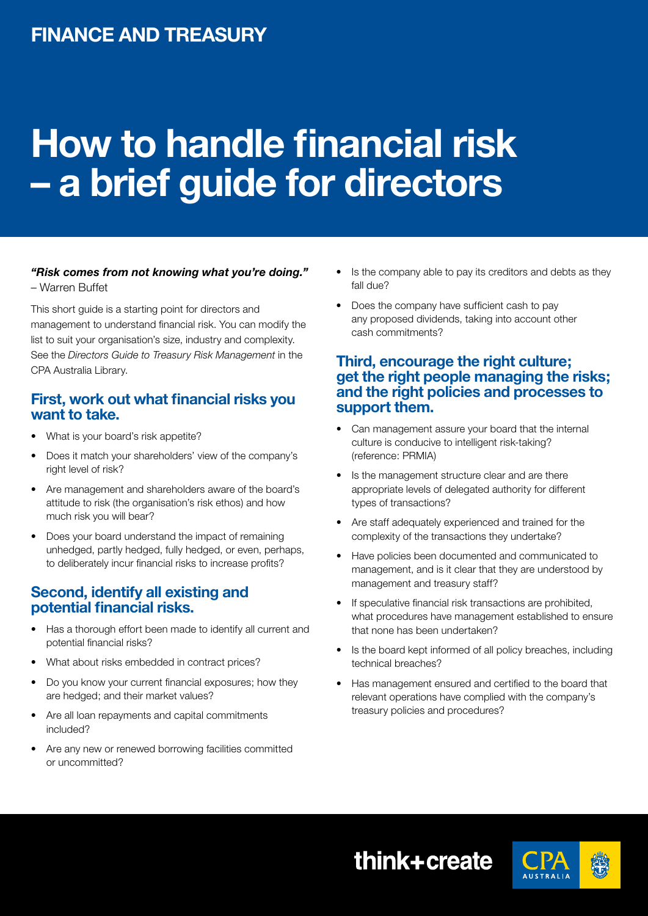# **How to handle financial risk – a brief guide for directors**

#### *"Risk comes from not knowing what you're doing."* – Warren Buffet

This short guide is a starting point for directors and management to understand financial risk. You can modify the list to suit your organisation's size, industry and complexity. See the *Directors Guide to Treasury Risk Management* in the CPA Australia Library.

## **First, work out what financial risks you want to take.**

- What is your board's risk appetite?
- Does it match your shareholders' view of the company's right level of risk?
- Are management and shareholders aware of the board's attitude to risk (the organisation's risk ethos) and how much risk you will bear?
- Does your board understand the impact of remaining unhedged, partly hedged, fully hedged, or even, perhaps, to deliberately incur financial risks to increase profits?

#### **Second, identify all existing and potential financial risks.**

- Has a thorough effort been made to identify all current and potential financial risks?
- What about risks embedded in contract prices?
- Do you know your current financial exposures; how they are hedged; and their market values?
- • Are all loan repayments and capital commitments included?
- Are any new or renewed borrowing facilities committed or uncommitted?
- Is the company able to pay its creditors and debts as they fall due?
- Does the company have sufficient cash to pay any proposed dividends, taking into account other cash commitments?

## **Third, encourage the right culture; get the right people managing the risks; and the right policies and processes to support them.**

- Can management assure your board that the internal culture is conducive to intelligent risk-taking? (reference: PRMIA)
- Is the management structure clear and are there appropriate levels of delegated authority for different types of transactions?
- Are staff adequately experienced and trained for the complexity of the transactions they undertake?
- Have policies been documented and communicated to management, and is it clear that they are understood by management and treasury staff?
- If speculative financial risk transactions are prohibited, what procedures have management established to ensure that none has been undertaken?
- Is the board kept informed of all policy breaches, including technical breaches?
- Has management ensured and certified to the board that relevant operations have complied with the company's treasury policies and procedures?